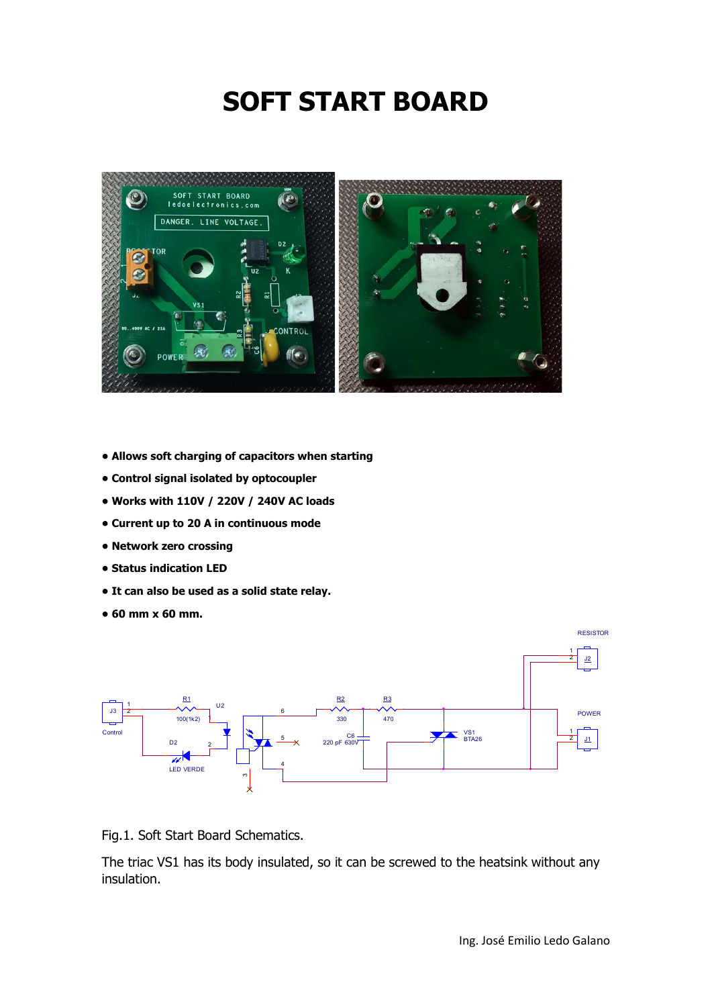## SOFT START BOARD



- Allows soft charging of capacitors when starting
- Control signal isolated by optocoupler
- Works with 110V / 220V / 240V AC loads
- Current up to 20 A in continuous mode
- Network zero crossing
- Status indication LED
- It can also be used as a solid state relay.
- 60 mm x 60 mm.



Fig.1. Soft Start Board Schematics.

The triac VS1 has its body insulated, so it can be screwed to the heatsink without any insulation.